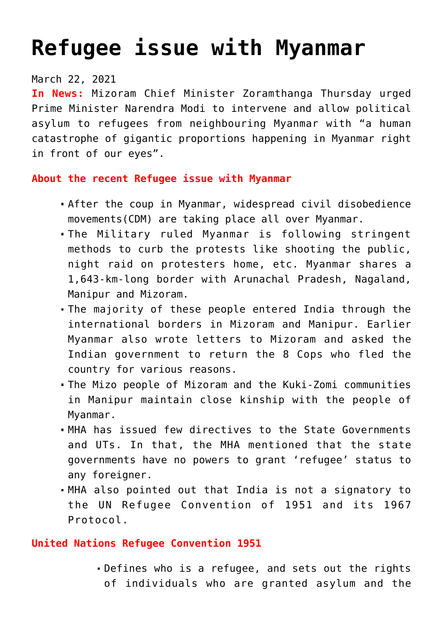# **[Refugee issue with Myanmar](https://journalsofindia.com/refugee-issue-with-myanmar/)**

## March 22, 2021

**In News:** Mizoram Chief Minister Zoramthanga Thursday urged Prime Minister Narendra Modi to intervene and allow political asylum to refugees from neighbouring Myanmar with "a human catastrophe of gigantic proportions happening in Myanmar right in front of our eyes".

## **About the recent Refugee issue with Myanmar**

- After the coup in Myanmar, widespread civil disobedience movements(CDM) are taking place all over Myanmar.
- The Military ruled Myanmar is following stringent methods to curb the protests like shooting the public, night raid on protesters home, etc. Myanmar shares a 1,643-km-long border with Arunachal Pradesh, Nagaland, Manipur and Mizoram.
- The majority of these people entered India through the international borders in Mizoram and Manipur. Earlier Myanmar also wrote letters to Mizoram and asked the Indian government to return the 8 Cops who fled the country for various reasons.
- The Mizo people of Mizoram and the Kuki-Zomi communities in Manipur maintain close kinship with the people of Myanmar.
- MHA has issued few directives to the State Governments and UTs. In that, the MHA mentioned that the state governments have no powers to grant 'refugee' status to any foreigner.
- MHA also pointed out that India is not a signatory to the UN Refugee Convention of 1951 and its 1967 Protocol.

## **United Nations Refugee Convention 1951**

Defines who is a refugee, and sets out the rights of individuals who are granted asylum and the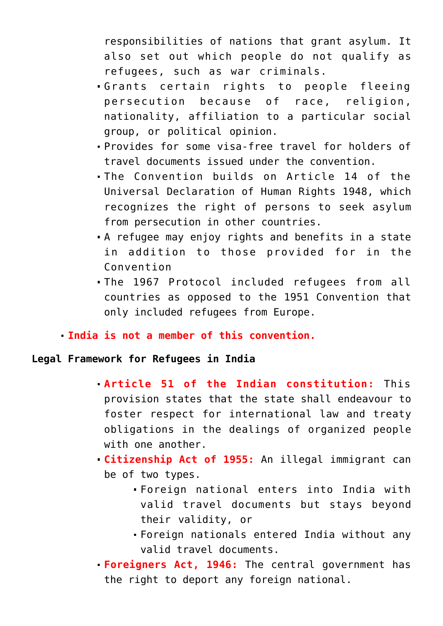responsibilities of nations that grant asylum. It also set out which people do not qualify as refugees, such as war criminals.

- Grants certain rights to people fleeing persecution because of race, religion, nationality, affiliation to a particular social group, or political opinion.
- Provides for some visa-free travel for holders of travel documents issued under the convention.
- The Convention builds on Article 14 of the Universal Declaration of Human Rights 1948, which recognizes the right of persons to seek asylum from persecution in other countries.
- A refugee may enjoy rights and benefits in a state in addition to those provided for in the Convention
- The 1967 Protocol included refugees from all countries as opposed to the 1951 Convention that only included refugees from Europe.

## **India is not a member of this convention.**

## **Legal Framework for Refugees in India**

- **Article 51 of the Indian constitution:** This provision states that the state shall endeavour to foster respect for international law and treaty obligations in the dealings of organized people with one another.
- **Citizenship Act of 1955:** An illegal immigrant can be of two types.
	- Foreign national enters into India with valid travel documents but stays beyond their validity, or
	- Foreign nationals entered India without any valid travel documents.
- **Foreigners Act, 1946:** The central government has the right to deport any foreign national.